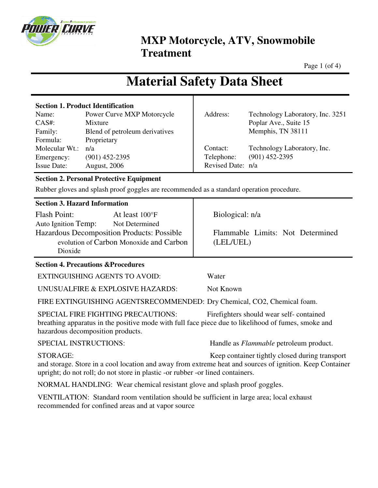

Page 1 (of 4)

# **Material Safety Data Sheet**

| <b>Section 1. Product Identification</b> |                                |                   |                                  |
|------------------------------------------|--------------------------------|-------------------|----------------------------------|
| Name:                                    | Power Curve MXP Motorcycle     | Address:          | Technology Laboratory, Inc. 3251 |
| $CAS#$ :                                 | Mixture                        |                   | Poplar Ave., Suite 15            |
| Family:                                  | Blend of petroleum derivatives |                   | Memphis, TN 38111                |
| Formula:                                 | Proprietary                    |                   |                                  |
| Molecular Wt.:                           | n/a                            | Contact:          | Technology Laboratory, Inc.      |
| Emergency:                               | $(901)$ 452-2395               | Telephone:        | $(901)$ 452-2395                 |
| <b>Issue Date:</b>                       | <b>August, 2006</b>            | Revised Date: n/a |                                  |

### **Section 2. Personal Protective Equipment**

Rubber gloves and splash proof goggles are recommended as a standard operation procedure.

|  |  | <b>Section 3. Hazard Information</b> |
|--|--|--------------------------------------|
|--|--|--------------------------------------|

| <b>Flash Point:</b>                        | At least 100°F |  |  |  |  |
|--------------------------------------------|----------------|--|--|--|--|
| Auto Ignition Temp:                        | Not Determined |  |  |  |  |
| Hazardous Decomposition Products: Possible |                |  |  |  |  |
| evolution of Carbon Monoxide and Carbon    |                |  |  |  |  |
| Dioxide                                    |                |  |  |  |  |

### **Section 4. Precautions &Procedures**

EXTINGUISHING AGENTS TO AVOID: Water

UNUSUALFIRE & EXPLOSIVE HAZARDS: Not Known

FIRE EXTINGUISHING AGENTSRECOMMENDED: Dry Chemical, CO2, Chemical foam.

SPECIAL FIRE FIGHTING PRECAUTIONS: Firefighters should wear self- contained breathing apparatus in the positive mode with full face piece due to likelihood of fumes, smoke and hazardous decomposition products.

SPECIAL INSTRUCTIONS: Handle as *Flammable* petroleum product.

Flammable Limits: Not Determined

STORAGE: Keep container tightly closed during transport and storage. Store in a cool location and away from extreme heat and sources of ignition. Keep Container upright; do not roll; do not store in plastic -or rubber -or lined containers.

NORMAL HANDLING: Wear chemical resistant glove and splash proof goggles.

VENTILATION: Standard room ventilation should be sufficient in large area; local exhaust recommended for confined areas and at vapor source

Biological: n/a

(LEL/UEL)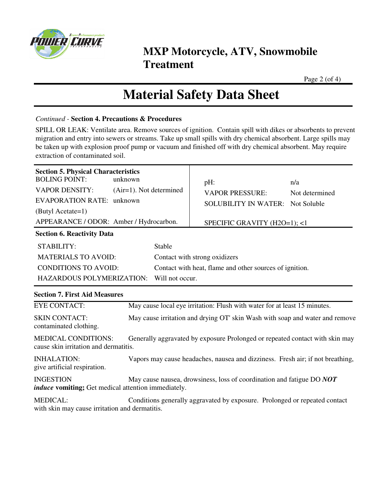

Page 2 (of 4)

## **Material Safety Data Sheet**

#### *Continued -* **Section 4. Precautions & Procedures**

SPILL OR LEAK: Ventilate area. Remove sources of ignition. Contain spill with dikes or absorbents to prevent migration and entry into sewers or streams. Take up small spills with dry chemical absorbent. Large spills may be taken up with explosion proof pump or vacuum and finished off with dry chemical absorbent. May require extraction of contaminated soil.

| <b>Section 5. Physical Characteristics</b><br><b>BOLING POINT:</b><br><b>VAPOR DENSITY:</b><br><b>EVAPORATION RATE: unknown</b><br>(Butyl Acetate=1)<br>APPEARANCE / ODOR: Amber / Hydrocarbon.<br><b>Section 6. Reactivity Data</b> | unknown<br>$(Air=1)$ . Not determined                                          | pH:<br><b>VAPOR PRESSURE:</b><br><b>SOLUBILITY IN WATER: Not Soluble</b><br>SPECIFIC GRAVITY (H2O=1); <1 | n/a<br>Not determined |  |  |  |
|--------------------------------------------------------------------------------------------------------------------------------------------------------------------------------------------------------------------------------------|--------------------------------------------------------------------------------|----------------------------------------------------------------------------------------------------------|-----------------------|--|--|--|
| <b>STABILITY:</b>                                                                                                                                                                                                                    | Stable                                                                         |                                                                                                          |                       |  |  |  |
| <b>MATERIALS TO AVOID:</b>                                                                                                                                                                                                           |                                                                                | Contact with strong oxidizers                                                                            |                       |  |  |  |
| <b>CONDITIONS TO AVOID:</b>                                                                                                                                                                                                          |                                                                                | Contact with heat, flame and other sources of ignition.                                                  |                       |  |  |  |
| HAZARDOUS POLYMERIZATION:<br>Will not occur.                                                                                                                                                                                         |                                                                                |                                                                                                          |                       |  |  |  |
| <b>Section 7. First Aid Measures</b>                                                                                                                                                                                                 |                                                                                |                                                                                                          |                       |  |  |  |
| <b>EYE CONTACT:</b>                                                                                                                                                                                                                  |                                                                                | May cause local eye irritation: Flush with water for at least 15 minutes.                                |                       |  |  |  |
| <b>SKIN CONTACT:</b><br>May cause irritation and drying OT' skin Wash with soap and water and remove<br>contaminated clothing.                                                                                                       |                                                                                |                                                                                                          |                       |  |  |  |
| <b>MEDICAL CONDITIONS:</b><br>Generally aggravated by exposure Prolonged or repeated contact with skin may<br>cause skin irritation and dermatitis.                                                                                  |                                                                                |                                                                                                          |                       |  |  |  |
| <b>INHALATION:</b><br>give artificial respiration.                                                                                                                                                                                   | Vapors may cause headaches, nausea and dizziness. Fresh air; if not breathing, |                                                                                                          |                       |  |  |  |
| <b>INGESTION</b><br>induce vomiting; Get medical attention immediately.                                                                                                                                                              | May cause nausea, drowsiness, loss of coordination and fatigue DO NOT          |                                                                                                          |                       |  |  |  |
| <b>MEDICAL:</b><br>Conditions generally aggravated by exposure. Prolonged or repeated contact<br>with skin may cause irritation and dermatitis.                                                                                      |                                                                                |                                                                                                          |                       |  |  |  |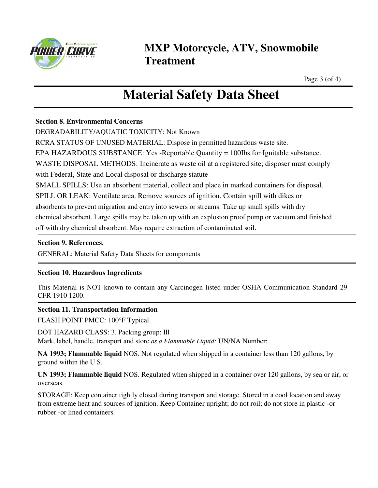

Page 3 (of 4)

## **Material Safety Data Sheet**

#### **Section 8. Environmental Concerns**

DEGRADABILITY/AQUATIC TOXICITY: Not Known

RCRA STATUS OF UNUSED MATERIAL: Dispose in permitted hazardous waste site.

EPA HAZARDOUS SUBSTANCE: Yes -Reportable Quantity = 100Ibs.for Ignitable substance.

WASTE DISPOSAL METHODS: Incinerate as waste oil at a registered site; disposer must comply

with Federal, State and Local disposal or discharge statute

SMALL SPILLS: Use an absorbent material, collect and place in marked containers for disposal.

SPILL OR LEAK: Ventilate area. Remove sources of ignition. Contain spill with dikes or

absorbents to prevent migration and entry into sewers or streams. Take up small spills with dry

chemical absorbent. Large spills may be taken up with an explosion proof pump or vacuum and finished

off with dry chemical absorbent. May require extraction of contaminated soil.

### **Section 9. References.**

GENERAL: Material Safety Data Sheets for components

### **Section 10. Hazardous Ingredients**

This Material is NOT known to contain any Carcinogen listed under OSHA Communication Standard 29 CFR 1910 1200.

#### **Section 11. Transportation Information**

FLASH POINT PMCC: 100°F Typical

DOT HAZARD CLASS: 3. Packing group: Ill

Mark, label, handle, transport and store *as a Flammable Liquid:* UN/NA Number:

**NA 1993; Flammable liquid** NOS. Not regulated when shipped in a container less than 120 gallons, by ground within the U.S.

**UN 1993; Flammable liquid** NOS. Regulated when shipped in a container over 120 gallons, by sea or air, or overseas.

STORAGE: Keep container tightly closed during transport and storage. Stored in a cool location and away from extreme heat and sources of ignition. Keep Container upright; do not roil; do not store in plastic -or rubber -or lined containers.